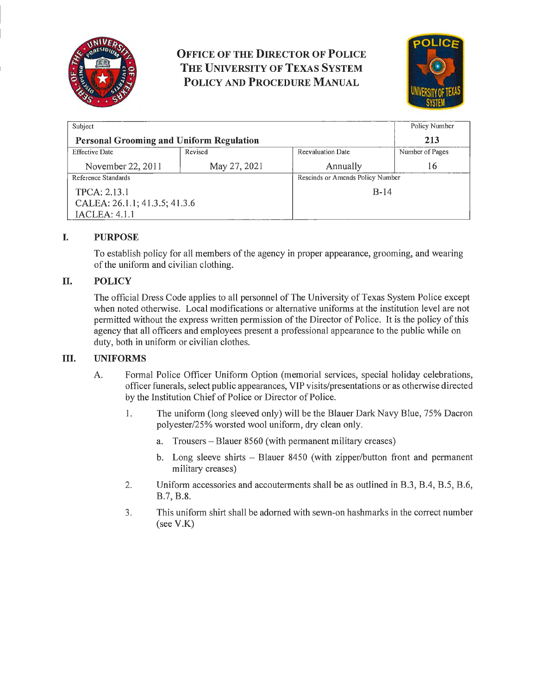

**OFFICE OF THE DIRECTOR OF POLICE THE UNIVERSITY OF TEXAS SYSTEM POLICY AND PROCEDURE MANUAL** 



| Subject                                         |              |                                  | Policy Number   |
|-------------------------------------------------|--------------|----------------------------------|-----------------|
| <b>Personal Grooming and Uniform Regulation</b> |              |                                  | 213             |
| <b>Effective Date</b>                           | Revised      | <b>Reevaluation Date</b>         | Number of Pages |
| November 22, 2011                               | May 27, 2021 | Annually                         | 16              |
| Reference Standards                             |              | Rescinds or Amends Policy Number |                 |
| TPCA: 2.13.1                                    |              | $B-14$                           |                 |
| CALEA: 26.1.1; 41.3.5; 41.3.6                   |              |                                  |                 |
| <b>IACLEA: 4.1.1</b>                            |              |                                  |                 |

# **I. PURPOSE**

To establish policy for all members of the agency in proper appearance, grooming, and wearing of the uniform and civilian clothing.

### **II. POLICY**

The official Dress Code applies to all personnel of The University of Texas System Police except when noted otherwise. Local modifications or alternative uniforms at the institution level are not permitted without the express written permission of the Director of Police. It is the policy of this agency that all officers and employees present a professional appearance to the public while on duty, both in uniform or civilian clothes.

### III. UNIFORMS

- A. Formal Police Officer Uniform Option (memorial services, special holiday celebrations, officer funerals, select public appearances, VIP visits/presentations or as otherwise directed by the Institution Chief of Police or Director of Police.
	- 1. The uniform (long sleeved only) will be the Blauer Dark Navy Blue, 75% Dacron polyester/25% worsted wool uniform, dry clean only.
		- a. Trousers Blauer 8560 (with permanent military creases)
		- b. Long sleeve shirts Blauer 8450 (with zipper/button front and permanent military creases)
	- 2. Uniform accessories and accouterments shall be as outlined in B.3, B.4, B.5, B.6, B.7, B.8.
	- 3. This uniform shirt shall be adorned with sewn-on hashmarks in the correct number (see V.K)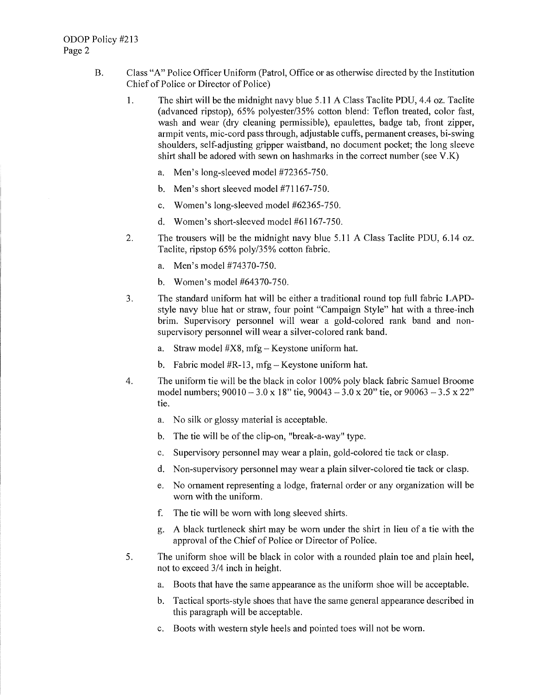- B. Class "A" Police Officer Uniform (Patrol, Office or as otherwise directed by the Institution Chief of Police or Director of Police)
	- 1. The shirt will be the midnight navy blue 5.11 A Class Tac lite PDU, 4.4 oz. Tac lite (advanced ripstop), 65% polyester/35% cotton blend: Teflon treated, color fast, wash and wear (dry cleaning permissible), epaulettes, badge tab, front zipper, armpit vents, mic-cord pass through, adjustable cuffs, permanent creases, bi-swing shoulders, self-adjusting gripper waistband, no document pocket; the long sleeve shirt shall be adored with sewn on hashmarks in the correct number (see V.K)
		- a. Men's long-sleeved model #72365-750.
		- b. Men's short sleeved model #71167-750.
		- c. Women's long-sleeved model #62365-750.
		- d. Women's short-sleeved model #61167-750.
	- 2. The trousers will be the midnight navy blue 5.11 A Class Taclite PDU, 6.14 oz. Taclite, ripstop 65% poly/35% cotton fabric.
		- a. Men's model #74370-750.
		- b. Women's model #64370-750.
	- 3. The standard uniform hat will be either a traditional round top full fabric LAPDstyle navy blue hat or straw, four point "Campaign Style" hat with a three-inch brim. Supervisory personnel will wear a gold-colored rank band and nonsupervisory personnel will wear a silver-colored rank band.
		- a. Straw model  $#X8$ , mfg Keystone uniform hat.
		- b. Fabric model #R-13, mfg-Keystone uniform hat.
	- 4. The uniform tie will be the black in color 100% poly black fabric Samuel Broome model numbers;  $90010 - 3.0 \times 18$ " tie,  $90043 - 3.0 \times 20$ " tie, or  $90063 - 3.5 \times 22$ " tie.
		- a. No silk or glossy material is acceptable.
		- b. The tie will be of the clip-on, "break-a-way" type.
		- c. Supervisory personnel may wear a plain, gold-colored tie tack or clasp.
		- d. Non-supervisory personnel may wear a plain silver-colored tie tack or clasp.
		- e. No ornament representing a lodge, fraternal order or any organization will be worn with the uniform.
		- f. The tie will be worn with long sleeved shitts.
		- g. A black turtleneck shirt may be worn under the shirt in lieu of a tie with the approval of the Chief of Police or Director of Police.
	- 5. The uniform shoe will be black in color with a rounded plain toe and plain heel, not to exceed 3/4 inch in height.
		- a. Boots that have the same appearance as the uniform shoe will be acceptable.
		- b. Tactical sports-style shoes that have the same general appearance described in this paragraph will be acceptable.
		- c. Boots with western style heels and pointed toes will not be worn.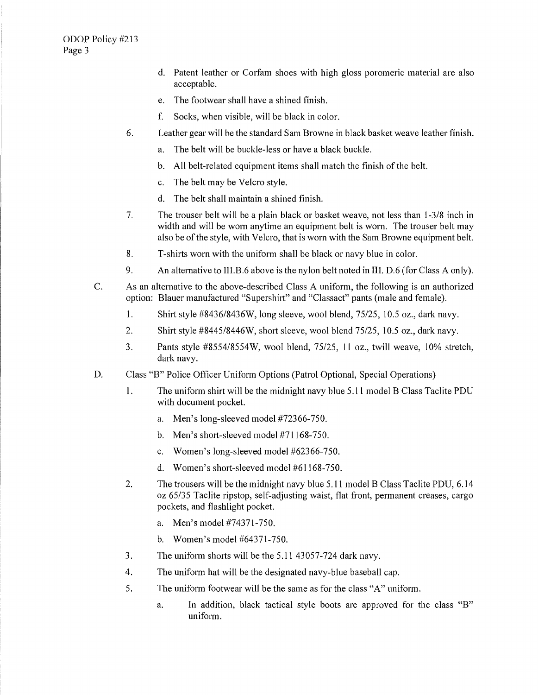- d. Patent leather or Corfam shoes with high gloss poromeric material are also acceptable.
- e. The footwear shall have a shined finish.
- f. Socks, when visible, will be black in color.
- 6. Leather gear will be the standard Sam Browne in black basket weave leather finish.
	- a. The belt will be buckle-less or have a black buckle.
	- b. All belt-related equipment items shall match the finish of the belt.
	- c. The belt may be Velcro style.
	- d. The belt shall maintain a shined finish.
- 7. The trouser belt will be a plain black or basket weave, not less than 1-3/8 inch in width and will be worn anytime an equipment belt is worn. The trouser belt may also be of the style, with Velcro, that is worn with the Sam Browne equipment belt.
- 8. T-shirts worn with the uniform shall be black or navy blue in color.
- 9. An alternative to III.B.6 above is the nylon belt noted in III. D.6 (for Class A only).
- C. As an alternative to the above-described Class A uniform, the following is an authorized option: Blauer manufactured "Supershirt" and "Classact" pants (male and female).
	- 1. Shirt style #8436/8436W, long sleeve, wool blend, 75/25, 10.5 oz., dark navy.
	- 2. Shirt style  $\#8445/8446W$ , short sleeve, wool blend  $75/25$ , 10.5 oz., dark navy.
	- 3. Pants style #8554/8554W, wool blend, 75/25, 11 oz., twill weave, 10% stretch, dark navy.
- D. Class "B" Police Officer Uniform Options (Patrol Optional, Special Operations)
	- I. The uniform shirt will be the midnight navy blue 5.11 model B Class Taclite PDU with document pocket.
		- a. Men's long-sleeved model #72366-750.
		- b. Men's short-sleeved model #71168-750.
		- c. Women's long-sleeved model #62366-750.
		- d. Women's short-sleeved model  $#61168-750$ .
	- 2. The trousers will be the midnight navy blue 5.11 model B Class Taclite PDU, 6.14 oz 65/35 Taclite ripstop, self-adjusting waist, flat front, permanent creases, cargo pockets, and flashlight pocket.
		- a. Men's model #74371-750.
		- b. Women's model #64371-750.
	- 3. The uniform shorts will be the 5.11 43057-724 dark navy.
	- 4. The uniform hat will be the designated navy-blue baseball cap.
	- 5. The uniform footwear will be the same as for the class "A" uniform.
		- a. In addition, black tactical style boots are approved for the class "B" uniform.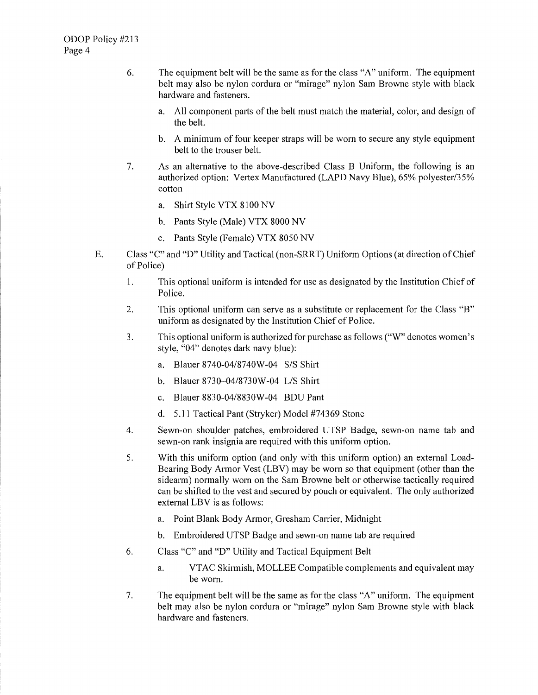- 6. The equipment belt will be the same as for the class "A" uniform. The equipment belt may also be nylon cordura or "mirage" nylon Sam Browne style with black hardware and fasteners.
	- a. All component parts of the belt must match the material, color, and design of the belt.
	- b. A minimum of four keeper straps will be worn to secure any style equipment belt to the trouser belt.
- 7. As an alternative to the above-described Class B Uniform, the following is an authorized option: Vertex Manufactured (LAPD Navy Blue), 65% polyester/35% cotton
	- a. Shirt Style VTX 8100 NV
	- b. Pants Style (Male) VTX 8000 NV
	- c. Pants Style (Female) VTX 8050 NV
- E. Class "C" and "D" Utility and Tactical (non-SRRT) Uniform Options (at direction of Chief of Police)
	- 1. This optional uniform is intended for use as designated by the Institution Chief of Police.
	- 2. This optional uniform can serve as a substitute or replacement for the Class "B" uniform as designated by the Institution Chief of Police.
	- 3. This optional uniform is authorized for purchase as follows ("W" denotes women's style, "04" denotes dark navy blue):
		- a. Blauer 8740-04/8740W-04 S/S Shirt
		- b. Blauer 8730-04/8730W-04 L/S Shirt
		- c. Blauer 8830-04/8830W-04 BOU Pant
		- d. 5.11 Tactical Pant (Stryker) Model #74369 Stone
	- 4. Sewn-on shoulder patches, embroidered UTSP Badge, sewn-on name tab and sewn-on rank insignia are required with this uniform option.
	- 5. With this uniform option (and only with this uniform option) an external Load-Bearing Body Armor Vest (LBV) may be worn so that equipment ( other than the sidearm) normally worn on the Sam Browne belt or otherwise tactically required can be shifted to the vest and secured by pouch or equivalent. The only authorized external LBV is as follows:
		- a. Point Blank Body Armor, Gresham Carrier, Midnight
		- b. Embroidered UTSP Badge and sewn-on name tab are required
	- 6. Class "C" and "D" Utility and Tactical Equipment Belt
		- a. VTAC Skirmish, MOLLEE Compatible complements and equivalent may be worn.
	- 7. The equipment belt will be the same as for the class "A" uniform. The equipment belt may also be nylon cordura or "mirage" nylon Sam Browne style with black hardware and fasteners.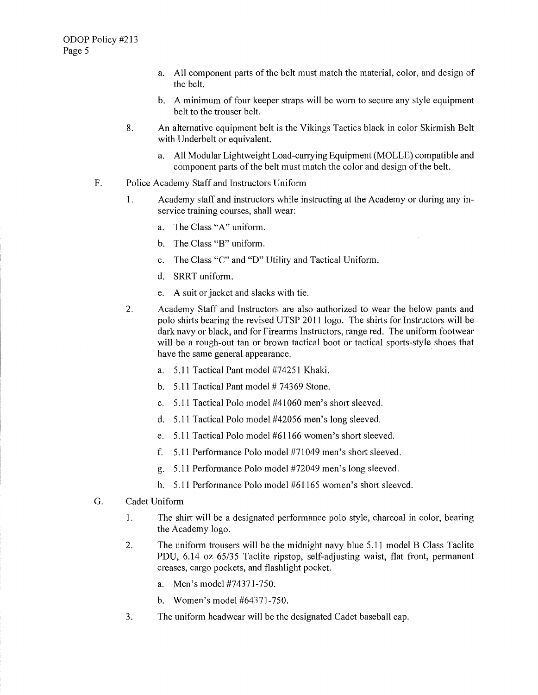- a. All component patts of the belt must match the material, color, and design of the belt.
- b. A minimum of four keeper straps will be worn to secure any style equipment belt to the trouser belt.
- 8. An alternative equipment belt is the Vikings Tactics black in color Skirmish Belt with Underbelt or equivalent.
	- a. All Modular Lightweight Load-carrying Equipment (MOLLE) compatible and component patts of the belt must match the color and design of the belt.
- F. Police Academy Staff and Instructors Uniform
	- 1. Academy staff and instructors while instructing at the Academy or during any inservice training courses, shall wear:
		- a. The Class "A" uniform.
		- b. The Class "B" uniform.
		- c. The Class "C" and "D" Utility and Tactical Uniform.
		- d. SRRT uniform.
		- e. A suit or jacket and slacks with tie.
	- 2. Academy Staff and Instructors are also authorized to wear the below pants and polo shirts bearing the revised UTSP 2011 logo. The shirts for Instructors will be dark navy or black, and for Firearms Instructors, range red. The uniform footwear will be a rough-out tan or brown tactical boot or tactical sports-style shoes that have the same general appearance.
		- a. 5.11 Tactical Pant model #74251 Khaki.
		- b.  $5.11$  Tactical Pant model # 74369 Stone.
		- c.  $5.11$  Tactical Polo model  $#41060$  men's short sleeved.
		- d. 5.11 Tactical Polo model #42056 men's long sleeved.
		- e. 5 .11 Tactical Polo model #61166 women's short sleeved.
		- f. 5 .11 Performance Polo model #71049 men's short sleeved.
		- g. 5.11 Performance Polo model #72049 men's long sleeved.
		- h. 5.11 Performance Polo model #61165 women's short sleeved.
- G. Cadet Uniform
	- 1. The shirt will be a designated performance polo style, charcoal in color, bearing the Academy logo.
	- 2. The uniform trousers will be the midnight navy blue 5.11 model B Class Taclite PDU, 6.14 oz 65/35 Taclite ripstop, self-adjusting waist, flat front, permanent creases, cargo pockets, and flashlight pocket.
		- a. Men's model #74371-750.
		- b. Women's model #64371-750.
	- 3. The uniform headwear will be the designated Cadet baseball cap.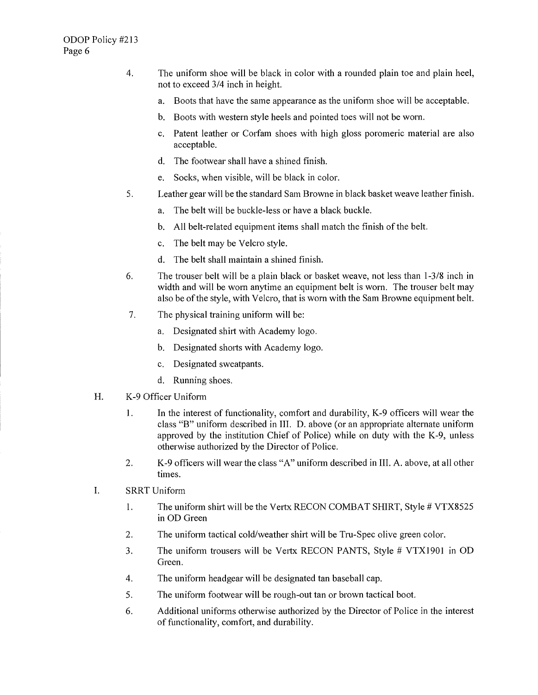- 4. The uniform shoe will be black in color with a rounded plain toe and plain heel, not to exceed 3/4 inch in height.
	- a. Boots that have the same appearance as the uniform shoe will be acceptable.
	- b. Boots with western style heels and pointed toes will not be worn.
	- c. Patent leather or Corfam shoes with high gloss poromeric material are also acceptable.
	- d. The footwear shall have a shined finish.
	- e. Socks, when visible, will be black in color.
- 5. Leather gear will be the standard Sam Browne in black basket weave leather finish.
	- a. The belt will be buckle-less or have a black buckle.
	- b. All belt-related equipment items shall match the finish of the belt.
	- c. The belt may be Velcro style.
	- d. The belt shall maintain a shined finish.
- 6. The trouser belt will be a plain black or basket weave, not less than l-3/8 inch in width and will be worn anytime an equipment belt is worn. The trouser belt may also be of the style, with Velcro, that is worn with the Sam Browne equipment belt.
- 7. The physical training uniform will be:
	- a. Designated shirt with Academy logo.
	- b. Designated shorts with Academy logo.
	- c. Designated sweatpants.
	- d. Running shoes.
- H. K-9 Officer Uniform
	- 1. In the interest of functionality, comfort and durability, K-9 officers will wear the class "B" uniform described in III. D. above (or an appropriate alternate uniform approved by the institution Chief of Police) while on duty with the K-9, unless otherwise authorized by the Director of Police.
	- 2. K-9 officers will wear the class "A" uniform described in III. A. above, at all other times.
- I. SRRT Uniform
	- 1. The uniform shirt will be the Vertx RECON COMBAT SHIRT, Style # VTX8525 in OD Green
	- 2. The uniform tactical cold/weather shirt will be Tru-Spec olive green color.
	- 3. The uniform trousers will be Vertx RECON PANTS, Style # VTX1901 in OD Green.
	- 4. The uniform headgear will be designated tan baseball cap.
	- 5. The uniform footwear will be rough-out tan or brown tactical boot.
	- 6. Additional uniforms otherwise authorized by the Director of Police in the interest of functionality, comfort, and durability.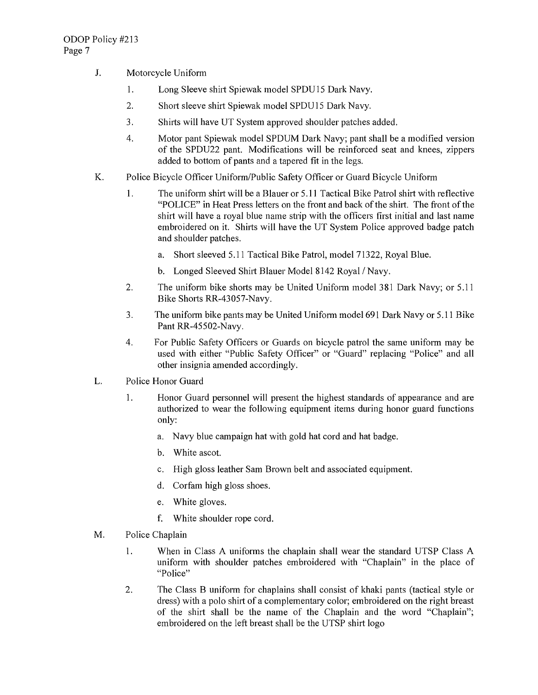- J. Motorcycle Uniform
	- 1. Long Sleeve shirt Spiewak model SPDU15 Dark Navy.
	- 2. Shoti sleeve shirt Spiewak model SPDU15 Dark Navy.
	- 3. Shirts will have UT System approved shoulder patches added.
	- 4. Motor pant Spiewak model SPDUM Dark Navy; pant shall be a modified version of the SPDU22 pant. Modifications will be reinforced seat and knees, zippers added to bottom of pants and a tapered fit in the legs.
- K. Police Bicycle Officer Uniform/Public Safety Officer or Guard Bicycle Uniform
	- 1. The uniform shirt will be a Blauer or 5.11 Tactical Bike Patrol shirt with reflective "POLICE" in Heat Press letters on the front and back of the shiti. The front of the shirt will have a royal blue name strip with the officers first initial and last name embroidered on it. Shirts will have the UT System Police approved badge patch and shoulder patches.
		- a. Short sleeved 5.11 Tactical Bike Patrol, model 71322, Royal Blue.
		- b. Longed Sleeved Shirt Blauer Model 8142 Royal / Navy.
	- 2. The uniform bike shorts may be United Uniform model 381 Dark Navy; or 5.11 Bike Shotis RR-43057-Navy.
	- 3. The uniform bike pants may be United Uniform model 691 Dark Navy or 5 .11 Bike Pant RR-45502-Navy.
	- 4. For Public Safety Officers or Guards on bicycle patrol the same uniform may be used with either "Public Safety Officer" or "Guard" replacing "Police" and all other insignia amended accordingly.
- L. Police Honor Guard
	- 1. Honor Guard personnel will present the highest standards of appearance and are authorized to wear the following equipment items during honor guard functions only:
		- a. Navy blue campaign hat with gold hat cord and hat badge.
		- b. White ascot.
		- c. High gloss leather Sam Brown belt and associated equipment.
		- d. Corfam high gloss shoes.
		- e. White gloves.
		- f. White shoulder rope cord.
- M. Police Chaplain
	- 1. When in Class A uniforms the chaplain shall wear the standard UTSP Class A uniform with shoulder patches embroidered with "Chaplain" in the place of "Police"
	- 2. The Class B uniform for chaplains shall consist of khaki pants (tactical style or dress) with a polo shirt of a complementary color; embroidered on the right breast of the shirt shall be the name of the Chaplain and the word "Chaplain"; embroidered on the left breast shall be the UTSP shirt logo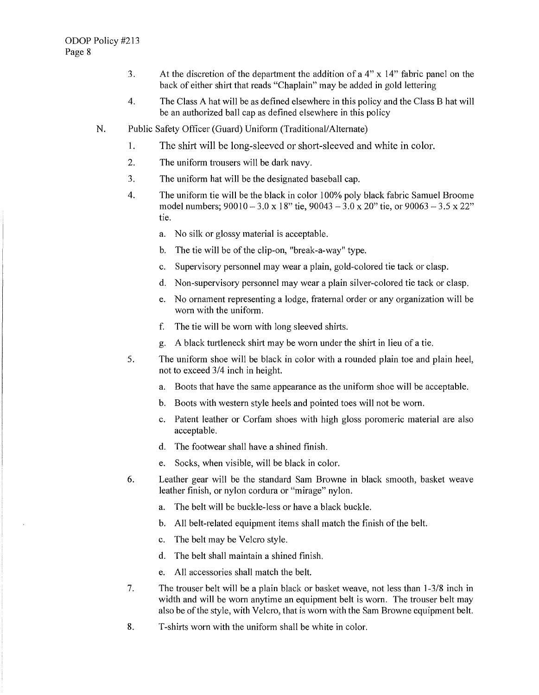- 3. At the discretion of the department the addition of a 4" x 14" fabric panel on the back of either shirt that reads "Chaplain" may be added in gold lettering
- 4. The Class A hat will be as defined elsewhere in this policy and the Class B hat will be an authorized ball cap as defined elsewhere in this policy
- N. Public Safety Officer (Guard) Uniform (Traditional/Alternate)
	- I. The shirt will be long-sleeved or short-sleeved and white in color.
	- 2. The uniform trousers will be dark navy.
	- 3. The uniform hat will be the designated baseball cap.
	- 4. The uniform tie will be the black in color I 00% poly black fabric Samuel Broome model numbers;  $90010 - 3.0 \times 18$ " tie,  $90043 - 3.0 \times 20$ " tie, or  $90063 - 3.5 \times 22$ " tie.
		- a. No silk or glossy material is acceptable.
		- b. The tie will be of the clip-on, "break-a-way" type.
		- c. Supervisory personnel may wear a plain, gold-colored tie tack or clasp.
		- d. Non-supervisory personnel may wear a plain silver-colored tie tack or clasp.
		- e. No ornament representing a lodge, fraternal order or any organization will be worn with the uniform.
		- f. The tie will be worn with long sleeved shitts.
		- g. A black turtleneck shirt may be worn under the shirt in lieu of a tie.
	- 5. The uniform shoe will be black in color with a rounded plain toe and plain heel, not to exceed 3/4 inch in height.
		- a. Boots that have the same appearance as the uniform shoe will be acceptable.
		- b. Boots with western style heels and pointed toes will not be worn.
		- c. Patent leather or Corfam shoes with high gloss poromeric material are also acceptable.
		- d. The footwear shall have a shined finish.
		- e. Socks, when visible, will be black in color.
	- 6. Leather gear will be the standard Sam Browne in black smooth, basket weave leather finish, or nylon cordura or "mirage" nylon.
		- a. The belt will be buckle-less or have a black buckle.
		- b. All belt-related equipment items shall match the finish of the belt.
		- c. The belt may be Velcro style.
		- d. The belt shall maintain a shined finish.
		- e. All accessories shall match the belt.
	- 7. The trouser belt will be a plain black or basket weave, not less than 1-3/8 inch in width and will be worn anytime an equipment belt is worn. The trouser belt may also be of the style, with Velcro, that is worn with the Sam Browne equipment belt.
	- 8. T-shirts worn with the uniform shall be white in color.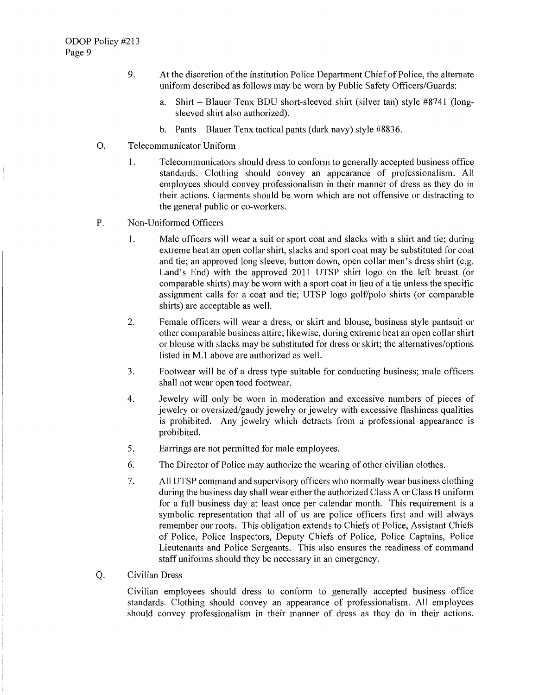- 9. At the discretion of the institution Police Depatiment Chief of Police, the alternate unifonn described as follows may be worn by Public Safety Officers/Guards:
	- a. Shirt Blauer Tenx BDU short-sleeved shirt (silver tan) style  $#8741$  (longsleeved shirt also authorized).
	- b. Pants Blauer Tenx tactical pants (dark navy) style  $\#8836$ .
- 0. Telecommunicator Uniform
	- 1. Telecommunicators should dress to conform to generally accepted business office standards. Clothing should convey an appearance of professionalism. All employees should convey professionalism in their manner of dress as they do in their actions. Garments should be worn which are not offensive or distracting to the general public or co-workers.
- P. Non-Uniformed Officers
	- 1. Male officers will wear a suit or spoti coat and slacks with a shiti and tie; during extreme heat an open collar shirt, slacks and sport coat may be substituted for coat and tie; an approved long sleeve, button down, open collar men's dress shirt (e.g. Land's End) with the approved 2011 UTSP shitt logo on the left breast (or comparable shirts) may be worn with a sport coat in lieu of a tie unless the specific assignment calls for a coat and tie; UTSP logo golf/polo shirts (or comparable shirts) are acceptable as well.
	- 2. Female officers will wear a dress, or skiti and blouse, business style pantsuit or other comparable business attire; likewise, during extreme heat an open collar shirt or blouse with slacks may be substituted for dress or skirt; the alternatives/options listed in M.1 above are authorized as well.
	- 3. Footwear will be of a dress type suitable for conducting business; male officers shall not wear open toed footwear.
	- 4. Jewelry will only be worn in moderation and excessive numbers of pieces of jewelry or oversized/gaudy jewehy or jewelry with excessive flashiness qualities is prohibited. Any jewehy which detracts from a professional appearance is prohibited.
	- 5. Earrings are not permitted for male employees.
	- 6. The Director of Police may authorize the wearing of other civilian clothes.
	- 7. All UTSP command and supervisory officers who normally wear business clothing during the business day shall wear either the authorized Class A or Class B uniform for a full business day at least once per calendar month. This requirement is a symbolic representation that all of us are police officers first and will always remember our roots. This obligation extends to Chiefs of Police, Assistant Chiefs of Police, Police Inspectors, Deputy Chiefs of Police, Police Captains, Police Lieutenants and Police Sergeants. This also ensures the readiness of command staff uniforms should they be necessary in an emergency.
- Q. Civilian Dress

Civilian employees should dress to confotm to generally accepted business office standards. Clothing should convey an appearance of professionalism. All employees should convey professionalism in their manner of dress as they do in their actions.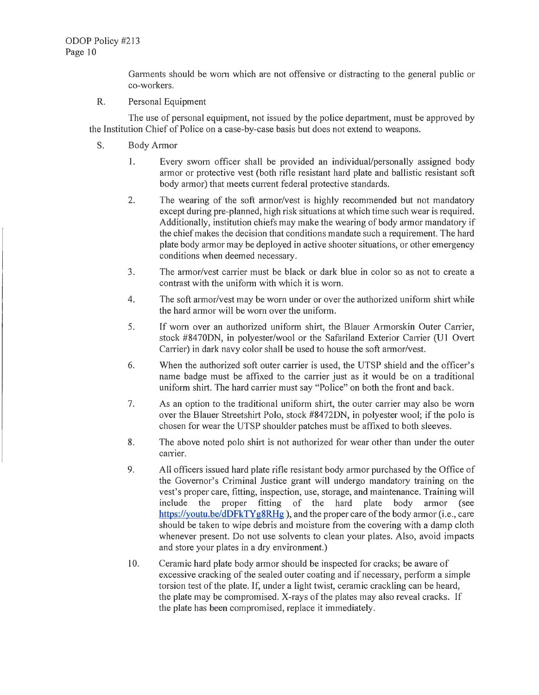Garments should be worn which are not offensive or distracting to the general public or co-workers.

R. Personal Equipment

The use of personal equipment, not issued by the police department, must be approved by the Institution Chief of Police on a case-by-case basis but does not extend to weapons.

- S. Body Armor
	- 1. Every sworn officer shall be provided an individual/personally assigned body armor or protective vest (both rifle resistant hard plate and ballistic resistant soft body armor) that meets current federal protective standards.
	- 2. The wearing of the soft armor/vest is highly recommended but not mandatory except during pre-planned, high risk situations at which time such wear is required. Additionally, institution chiefs may make the wearing of body armor mandatory if the chief makes the decision that conditions mandate such a requirement. The hard plate body armor may be deployed in active shooter situations, or other emergency conditions when deemed necessary.
	- 3. The armor/vest carrier must be black or dark blue in color so as not to create a contrast with the uniform with which it is worn.
	- 4. The soft armor/vest may be worn under or over the authorized unifonn shirt while the hard armor will be worn over the uniform.
	- 5. If worn over an authorized uniform shirt, the Blauer Armorskin Outer Carrier, stock #8470DN, in polyester/wool or the Safariland Exterior Carrier (U1 Overt Carrier) in dark navy color shall be used to house the soft armor/vest.
	- 6. When the authorized soft outer carrier is used, the UTSP shield and the officer's name badge must be affixed to the carrier just as it would be on a traditional uniform shirt. The hard carrier must say "Police" on both the front and back.
	- 7. As an option to the traditional uniform shitt, the outer carrier may also be worn over the Blauer Streetshirt Polo, stock #8472DN, in polyester wool; if the polo is chosen for wear the UTSP shoulder patches must be affixed to both sleeves.
	- 8. The above noted polo shirt is not authorized for wear other than under the outer carrier.
	- 9. All officers issued hard plate rifle resistant body armor purchased by the Office of the Governor's Criminal Justice grant will undergo mandatory training on the vest's proper care, fitting, inspection, use, storage, and maintenance. Training will include the proper fitting of the hard plate body armor (see https://youtu.be/dDFkTYg8RHg), and the proper care of the body armor (i.e., care should be taken to wipe debris and moisture from the covering with a damp cloth whenever present. Do not use solvents to clean your plates. Also, avoid impacts and store your plates in a dry environment.)
	- 10. Ceramic hard plate body armor should be inspected for cracks; be aware of excessive cracking of the sealed outer coating and if necessary, perform a simple torsion test of the plate. If, under a light twist, ceramic crackling can be heard, the plate may be compromised. X-rays of the plates may also reveal cracks. If the plate has been compromised, replace it immediately.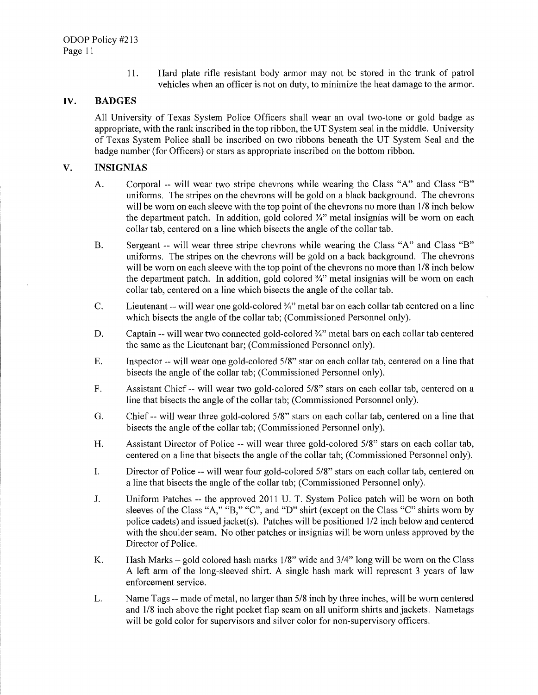11. Hard plate rifle resistant body armor may not be stored in the trunk of patrol vehicles when an officer is not on duty, to minimize the heat damage to the armor.

#### **IV. BADGES**

All University of Texas System Police Officers shall wear an oval two-tone or gold badge as appropriate, with the rank inscribed in the top ribbon, the UT System seal in the middle. University of Texas System Police shall be inscribed on two ribbons beneath the UT System Seal and the badge number (for Officers) or stars as appropriate inscribed on the bottom ribbon.

#### **V. INSIGNIAS**

- A. Corporal -- will wear two stripe chevrons while wearing the Class "A" and Class "B" uniforms. The stripes on the chevrons will be gold on a black background. The chevrons will be worn on each sleeve with the top point of the chevrons no more than 1/8 inch below the department patch. In addition, gold colored  $\frac{3}{4}$ " metal insignias will be worn on each collar tab, centered on a line which bisects the angle of the collar tab.
- B. Sergeant -- will wear three stripe chevrons while wearing the Class "A" and Class "B" uniforms. The stripes on the chevrons will be gold on a back background. The chevrons will be worn on each sleeve with the top point of the chevrons no more than  $1/8$  inch below the department patch. In addition, gold colored  $\frac{3}{4}$ " metal insignias will be worn on each collar tab, centered on a line which bisects the angle of the collar tab.
- C. Lieutenant -- will wear one gold-colored¾" metal bar on each collar tab centered on a line which bisects the angle of the collar tab; (Commissioned Personnel only).
- D. Captain -- will wear two connected gold-colored ¼" metal bars on each collar tab centered the same as the Lieutenant bar; (Commissioned Personnel only).
- E. Inspector -- will wear one gold-colored 5/8" star on each collar tab, centered on a line that bisects the angle of the collar tab; (Commissioned Personnel only).
- F. Assistant Chief -- will wear two gold-colored 5/8" stars on each collar tab, centered on a line that bisects the angle of the collar tab; (Commissioned Personnel only).
- G. Chief -- will wear three gold-colored 5/8" stars on each collar tab, centered on a line that bisects the angle of the collar tab; (Commissioned Personnel only).
- H. Assistant Director of Police -- will wear three gold-colored 5/8" stars on each collar tab, centered on a line that bisects the angle of the collar tab; (Commissioned Personnel only).
- I. Director of Police -- will wear four gold-colored 5/8" stars on each collar tab, centered on a line that bisects the angle of the collar tab; (Commissioned Personnel only).
- J. Uniform Patches -- the approved 2011 U. T. System Police patch will be worn on both sleeves of the Class "A," "B," "C", and "D" shirt (except on the Class "C" shirts worn by police cadets) and issued jacket(s). Patches will be positioned  $1/2$  inch below and centered with the shoulder seam. No other patches or insignias will be worn unless approved by the Director of Police.
- K. Hash Marks gold colored hash marks  $1/8$ " wide and  $3/4$ " long will be worn on the Class A left arm of the long-sleeved shirt. A single hash mark will represent 3 years of law enforcement service.
- L. Name Tags -- made of metal, no larger than 5/8 inch by three inches, will be worn centered and 1/8 inch above the right pocket flap seam on all uniform shitis and jackets. Nametags will be gold color for supervisors and silver color for non-supervisory officers.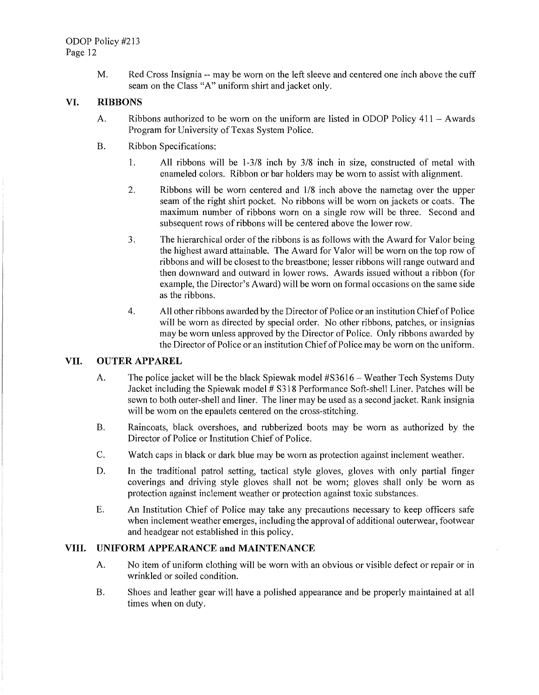M. Red Cross Insignia -- may be worn on the left sleeve and centered one inch above the cuff seam on the Class "A" uniform shirt and jacket only.

#### **VI. RIBBONS**

- A. Ribbons authorized to be worn on the uniform are listed in ODOP Policy  $411 -$  Awards Program for University of Texas System Police.
- B. Ribbon Specifications:
	- 1. All ribbons will be 1-3/8 inch by 3/8 inch in size, constructed of metal with enameled colors. Ribbon or bar holders may be worn to assist with alignment.
	- 2. Ribbons will be worn centered and 1/8 inch above the nametag over the upper seam of the right shirt pocket. No ribbons will be worn on jackets or coats. The maximum number of ribbons worn on a single row will be three. Second and subsequent rows of ribbons will be centered above the lower row.
	- 3. The hierarchical order of the ribbons is as follows with the Award for Valor being the highest award attainable. The Award for Valor will be worn on the top row of ribbons and will be closest to the breastbone; lesser ribbons will range outward and then downward and outward in lower rows. Awards issued without a ribbon (for example, the Director's Award) will be worn on formal occasions on the same side as the ribbons.
	- 4. All other ribbons awarded by the Director of Police or an institution Chief of Police will be worn as directed by special order. No other ribbons, patches, or insignias may be worn unless approved by the Director of Police. Only ribbons awarded by the Director of Police or an institution Chief of Police may be worn on the uniform.

### **VII. OUTER APPAREL**

- A. The police jacket will be the black Spiewak model #S3616- Weather Tech Systems Duty Jacket including the Spiewak model # S318 Performance Soft-shell Liner. Patches will be sewn to both outer-shell and liner. The liner may be used as a second jacket. Rank insignia will be worn on the epaulets centered on the cross-stitching.
- B. Raincoats, black overshoes, and rubberized boots may be worn as authorized by the Director of Police or Institution Chief of Police.
- C. Watch caps in black or dark blue may be worn as protection against inclement weather.
- D. In the traditional patrol setting, tactical style gloves, gloves with only partial finger coverings and driving style gloves shall not be worn; gloves shall only be worn as protection against inclement weather or protection against toxic substances.
- E. An Institution Chief of Police may take any precautions necessary to keep officers safe when inclement weather emerges, including the approval of additional outerwear, footwear and headgear not established in this policy.

# **VIII. UNIFORM APPEARANCE and MAINTENANCE**

- A. No item of uniform clothing will be worn with an obvious or visible defect or repair or in wrinkled or soiled condition.
- B. Shoes and leather gear will have a polished appearance and be properly maintained at all times when on duty.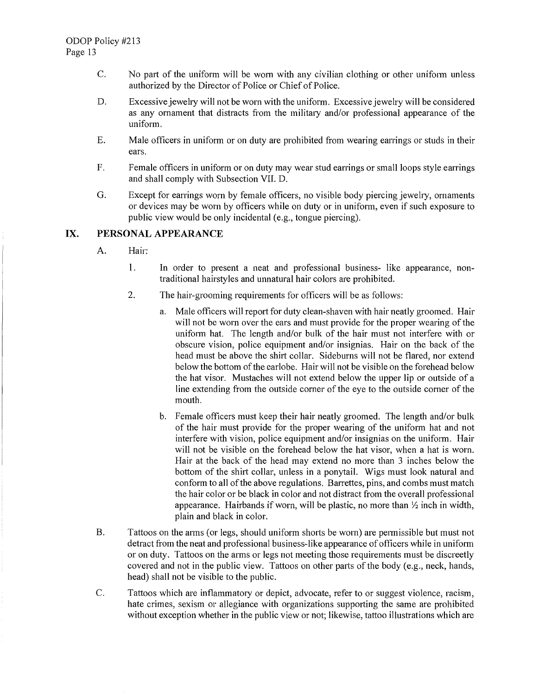- C. No part of the uniform will be worn with any civilian clothing or other uniform unless authorized by the Director of Police or Chief of Police.
- D. Excessive jewelry will not be worn with the uniform. Excessive jewelry will be considered as any ornament that distracts from the militaty and/or professional appearance of the uniform.
- E. Male officers in uniform or on duty are prohibited from wearing earrings or studs in their ears.
- F. Female officers in uniform or on duty may wear stud earrings or small loops style earrings and shall comply with Subsection VII. D.
- G. Except for earrings worn by female officers, no visible body piercing jewehy, ornaments or devices may be worn by officers while on duty or in uniform, even if such exposure to public view would be only incidental (e.g., tongue piercing).

## **IX. PERSONAL APPEARANCE**

- A. Hair:
	- 1. In order to present a neat and professional business- like appearance, nontraditional hairstyles and unnatural hair colors are prohibited.
	- 2. The hair-grooming requirements for officers will be as follows:
		- a. Male officers will report for duty clean-shaven with hair neatly groomed. Hair will not be worn over the ears and must provide for the proper wearing of the unifotm hat. The length and/or bulk of the hair must not interfere with or obscure vision, police equipment and/or insignias. Hair on the back of the head must be above the shirt collar. Sideburns will not be flared, nor extend below the bottom of the earlobe. Hair will not be visible on the forehead below the hat visor. Mustaches will not extend below the upper lip or outside of a line extending from the outside corner of the eye to the outside corner of the mouth.
		- b. Female officers must keep their hair neatly groomed. The length and/or bulk of the hair must provide for the proper wearing of the uniform hat and not interfere with vision, police equipment and/or insignias on the uniform. Hair will not be visible on the forehead below the hat visor, when a hat is worn. Hair at the back of the head may extend no more than 3 inches below the bottom of the shitt collar, unless in a ponytail. Wigs must look natural and conform to all of the above regulations. Barrettes, pins, and combs must match the hair color or be black in color and not distract from the overall professional appearance. Hairbands if worn, will be plastic, no more than  $\frac{1}{2}$  inch in width, plain and black in color.
- B. Tattoos on the arms (or legs, should uniform shorts be worn) are permissible but must not detract from the neat and professional business-like appearance of officers while in uniform or on duty. Tattoos on the arms or legs not meeting those requirements must be discreetly covered and not in the public view. Tattoos on other parts of the body (e.g., neck, hands, head) shall not be visible to the public.
- C. Tattoos which are inflammatory or depict, advocate, refer to or suggest violence, racism, hate crimes, sexism or allegiance with organizations supporting the same are prohibited without exception whether in the public view or not; likewise, tattoo illustrations which are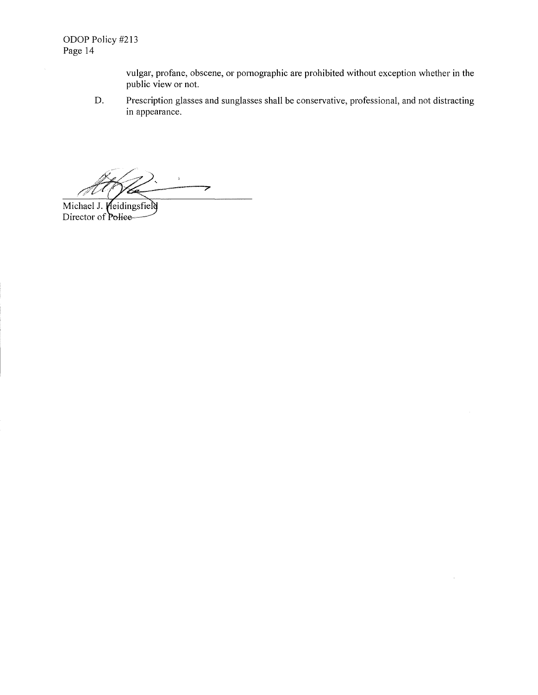vulgar, profane, obscene, or pornographic are prohibited without exception whether in the public view or not.

D. Prescription glasses and sunglasses shall be conservative, professional, and not distracting in appearance.

 $\hat{r}$ ァ

Michael J. Meidingsfield<br>Director of Police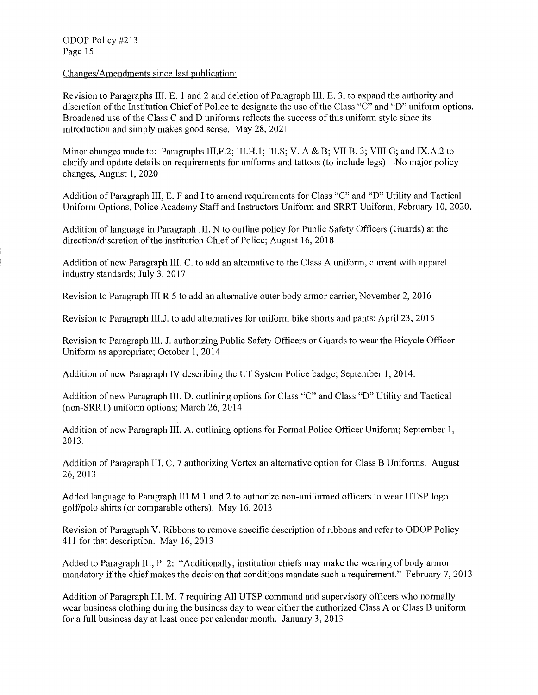ODOP Policy #213 Page 15

Changes/Amendments since last publication:

Revision to Paragraphs III. E. 1 and 2 and deletion of Paragraph III. E. 3, to expand the authority and discretion of the Institution Chief of Police to designate the use of the Class "C" and "D" uniform options. Broadened use of the Class C and D uniforms reflects the success of this unifonn style since its introduction and simply makes good sense. May 28, 2021

Minor changes made to: Paragraphs III.F.2; III.H.1; III.S; V. A & B; VII B. 3; VIII G; and IX.A.2 to clarify and update details on requirements for uniforms and tattoos (to include legs)—No major policy changes, August 1, 2020

Addition of Paragraph III, E. F and I to amend requirements for Class "C" and "D" Utility and Tactical Uniform Options, Police Academy Staff and Instructors Uniform and SRRT Uniform, February 10, 2020.

Addition of language in Paragraph III. N to outline policy for Public Safety Officers (Guards) at the direction/discretion of the institution Chief of Police; August 16, 2018

Addition of new Paragraph III. C. to add an alternative to the Class A uniform, current with apparel industry standards; July 3, 2017

Revision to Paragraph III R 5 to add an alternative outer body armor carrier, November 2, 2016

Revision to Paragraph III.J. to add alternatives for uniform bike shorts and pants; April 23, 2015

Revision to Paragraph III. J. authorizing Public Safety Officers or Guards to wear the Bicycle Officer Uniform as appropriate; October 1, 2014

Addition of new Paragraph IV describing the UT System Police badge; September 1, 2014.

Addition of new Paragraph III. D. outlining options for Class "C" and Class "D" Utility and Tactical (non-SRRT) uniform options; March 26, 2014

Addition of new Paragraph III. A. outlining options for Formal Police Officer Uniform; September 1, 2013.

Addition of Paragraph III. C. 7 authorizing Vertex an alternative option for Class B Uniforms. August 26, 2013

Added language to Paragraph III M 1 and 2 to authorize non-uniformed officers to wear UTSP logo golf/polo shhis (or comparable others). May 16, 2013

Revision of Paragraph V. Ribbons to remove specific description of ribbons and refer to ODOP Policy 411 for that description. May 16, 2013

Added to Paragraph Ill, P. 2: "Additionally, institution chiefs may make the wearing of body armor mandatory if the chief makes the decision that conditions mandate such a requirement." February 7, 2013

Addition of Paragraph III. M. 7 requiring All UTSP command and supervisory officers who normally wear business clothing during the business day to wear either the authorized Class A or Class B uniform for a full business day at least once per calendar month. January 3, 2013